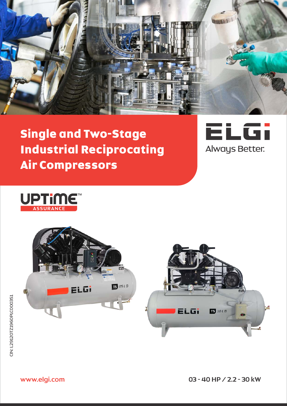

# Single and Two-Stage Industrial Reciprocating Air Compressors





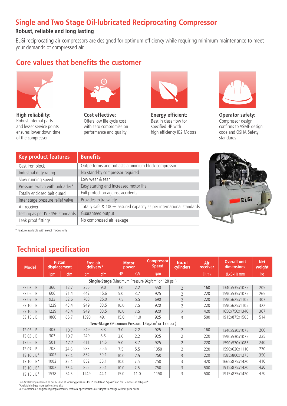# **Single and Two Stage Oil-lubricated Reciprocating Compressor**

### **Robust, reliable and long lasting**

ELGi reciprocating air compressors are designed for optimum efficiency while requiring minimum maintenance to meet your demands of compressed air.

## **Core values that benefits the customer**



**High reliability:** Robust internal parts and lesser service points ensures lower down time of the compressor



**Cost effective:** Offers low life cycle cost with zero compromise on performance and quality



**Energy efficient:** Best in class flow for specified HP with high efficiency IE2 Motors



**Operator safety:** Compressor design confirms to ASME design code and OSHA Safety standards

| <b>Key product features</b>       | <b>Benefits</b>                                                     |
|-----------------------------------|---------------------------------------------------------------------|
| Cast iron block                   | Outperforms and outlasts aluminium block compressor                 |
| Industrial duty rating            | No stand-by compressor required                                     |
| Slow running speed                | Low wear & tear                                                     |
| Pressure switch with unloader*    | Easy starting and increased motor life                              |
| Totally enclosed belt quard       | Full protection against accidents                                   |
| Inter stage pressure relief valve | Provides extra safety                                               |
| Air receiver                      | Totally safe & 100% assured capacity as per international standards |
| Testing as per IS 5456 standards  | Guaranteed output                                                   |
| Leak proof fittings               | No compressed air leakage                                           |



\* Feature available with select models only

# **Technical specification**

| <b>Model</b>                                                          | <b>Piston</b><br>displacement                                |      | <b>Free air</b> | delivery* |           | <b>Motor</b><br>power | <b>Compressor</b><br><b>Speed</b> | No. of<br><b>cylinders</b> | Air<br>receiver | <b>Overall unit</b><br>dimensions | <b>Net</b><br>weight |
|-----------------------------------------------------------------------|--------------------------------------------------------------|------|-----------------|-----------|-----------|-----------------------|-----------------------------------|----------------------------|-----------------|-----------------------------------|----------------------|
|                                                                       | Ipm                                                          | cfm  | lpm             | cfm       | <b>HP</b> | <b>KW</b>             | rpm                               |                            | <b>Litres</b>   | (LxBxH) mm                        | kg                   |
| <b>Single-Stage</b> (Maximum Pressure 9kg/cm <sup>2</sup> or 128 psi) |                                                              |      |                 |           |           |                       |                                   |                            |                 |                                   |                      |
| SS 03 L B                                                             | 360                                                          | 12.7 | 255             | 9.0       | 3.0       | 2.2                   | 550                               | $\overline{2}$             | 160             | 1340x535x1075                     | 205                  |
| SS 05 L B                                                             | 606                                                          | 21.4 | 442             | 15.6      | 5.0       | 3.7                   | 925                               | $\overline{2}$             | 220             | 1590x535x1075                     | 265                  |
| <b>SS 07 L B</b>                                                      | 923                                                          | 32.6 | 708             | 25.0      | 7.5       | 5.5                   | 690                               | $\overline{2}$             | 220             | 1590x625x1105                     | 307                  |
| <b>SS 10 L B</b>                                                      | 1229                                                         | 43.4 | 949             | 33.5      | 10.0      | 7.5                   | 920                               | $\overline{2}$             | 220             | 1590x625x1105                     | 322                  |
| <b>SS 10 L B</b>                                                      | 1229                                                         | 43.4 | 949             | 33.5      | 10.0      | 7.5                   | 920                               | $\overline{2}$             | 420             | 1650x750x1340                     | 367                  |
| SS 15 L B                                                             | 1860                                                         | 65.7 | 1390            | 49.1      | 15.0      | 11.0                  | 925                               | 3                          | 500             | 1915x875x1505                     | 514                  |
|                                                                       | Two-Stage (Maximum Pressure 12kg/cm <sup>2</sup> or 175 psi) |      |                 |           |           |                       |                                   |                            |                 |                                   |                      |
| <b>TS 03 L B</b>                                                      | 303                                                          | 10.7 | 249             | 8.8       | 3.0       | 2.2                   | 925                               | $\overline{2}$             | 160             | 1340x530x1075                     | 200                  |
| <b>TS 03 L B</b>                                                      | 303                                                          | 10.7 | 249             | 8.8       | 3.0       | 2.2                   | 925                               | $\overline{2}$             | 220             | 1590x530x1075                     | 225                  |
| <b>TS 05 L B</b>                                                      | 501                                                          | 17.7 | 411             | 14.5      | 5.0       | 3.7                   | 925                               | $\overline{2}$             | 220             | 1590x570x1085                     | 240                  |
| <b>TS 07 L B</b>                                                      | 702                                                          | 24.8 | 583             | 20.6      | 7.5       | 5.5                   | 1050                              | $\overline{2}$             | 220             | 1590x620x1110                     | 270                  |
| TS 10 L B*                                                            | 1002                                                         | 35.4 | 852             | 30.1      | 10.0      | 7.5                   | 750                               | 3                          | 220             | 1585x800x1275                     | 350                  |
| TS 10 L B*                                                            | 1002                                                         | 35.4 | 852             | 30.1      | 10.0      | 7.5                   | 750                               | 3                          | 420             | 1665x875x1420                     | 410                  |
| TS 10 L B*                                                            | 1002                                                         | 35.4 | 852             | 30.1      | 10.0      | 7.5                   | 750                               | 3                          | 500             | 1915x875x1420                     | 420                  |
| TS 15 L B*                                                            | 1538                                                         | 54.3 | 1249            | 44.1      | 15.0      | 11.0                  | 1150                              | 3                          | 500             | 1915x875x1420                     | 470                  |

Free Air Delivery measured as per IS 5456 at working pressures for SS models at 7kg/cm<sup>2</sup> and for TS models at 10kg/cm<sup>2</sup> \*Available in base mounted versions also

Due to continuous engineering improvements, technical specifications are subject to change without prior notice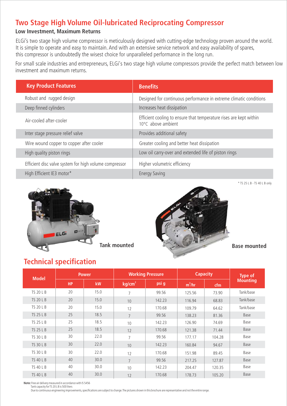# **Two Stage High Volume Oil-lubricated Reciprocating Compressor**

### **Low Investment, Maximum Returns**

ELGi's two stage high volume compressor is meticulously designed with cutting-edge technology proven around the world. It is simple to operate and easy to maintain. And with an extensive service network and easy availability of spares, this compressor is undoubtedly the wisest choice for unparalleled performance in the long run.

For small scale industries and entrepreneurs, ELGi's two stage high volume compressors provide the perfect match between low investment and maximum returns.

| <b>Key Product Features</b>                            | <b>Benefits</b>                                                                          |
|--------------------------------------------------------|------------------------------------------------------------------------------------------|
| Robust and rugged design                               | Designed for continuous performance in extreme climatic conditions                       |
| Deep finned cylinders                                  | Increases heat dissipation                                                               |
| Air-cooled after-cooler                                | Efficient cooling to ensure that temperature rises are kept within<br>10°C above ambient |
| Inter stage pressure relief valve                      | Provides additional safety                                                               |
| Wire wound copper to copper after cooler               | Greater cooling and better heat dissipation                                              |
| High quality piston rings                              | Low oil carry-over and extended life of piston rings                                     |
| Efficient disc valve system for high volume compressor | Higher volumetric efficiency                                                             |
| High Efficient IE3 motor*                              | <b>Energy Saving</b>                                                                     |





\* TS 25 L B - TS 40 L B only

## **Technical specification**

| <b>Model</b>     |           | <b>Power</b> |                    | <b>Working Pressure</b> | <b>Capacity</b> | Type of |                 |
|------------------|-----------|--------------|--------------------|-------------------------|-----------------|---------|-----------------|
|                  | <b>HP</b> | kW           | kg/cm <sup>2</sup> | psi g                   | $m^3/hr$        | cfm     | <b>Mounting</b> |
| <b>TS 20 L B</b> | 20        | 15.0         | 7                  | 99.56                   | 125.56          | 73.90   | Tank/base       |
| <b>TS 20 L B</b> | 20        | 15.0         | 10                 | 142.23                  | 116.94          | 68.83   | Tank/base       |
| <b>TS 20 L B</b> | 20        | 15.0         | 12                 | 170.68                  | 109.79          | 64.62   | Tank/base       |
| <b>TS 25 L B</b> | 25        | 18.5         | $\overline{7}$     | 99.56                   | 138.23          | 81.36   | Base            |
| <b>TS 25 L B</b> | 25        | 18.5         | 10                 | 142.23                  | 126.90          | 74.69   | Base            |
| <b>TS 25 L B</b> | 25        | 18.5         | 12                 | 170.68                  | 121.38          | 71.44   | Base            |
| <b>TS 30 L B</b> | 30        | 22.0         | $\overline{7}$     | 99.56                   | 177.17          | 104.28  | Base            |
| <b>TS 30 L B</b> | 30        | 22.0         | 10                 | 142.23                  | 160.84          | 94.67   | Base            |
| <b>TS 30 L B</b> | 30        | 22.0         | 12                 | 170.68                  | 151.98          | 89.45   | Base            |
| <b>TS 40 L B</b> | 40        | 30.0         | $7^{\circ}$        | 99.56                   | 217.25          | 127.87  | Base            |
| <b>TS 40 L B</b> | 40        | 30.0         | 10                 | 142.23                  | 204.47          | 120.35  | Base            |
| <b>TS 40 L B</b> | 40        | 30.0         | 12                 | 170.68                  | 178.73          | 105.20  | Base            |

**Note:** Free air delivery measured in accordance with IS 5456 Tank capacity for TS 20 L B is 500 liters

Due to continuous engineering improvements, specifications are subject to change. The pictures shown in this brochure are representative and not the entire range